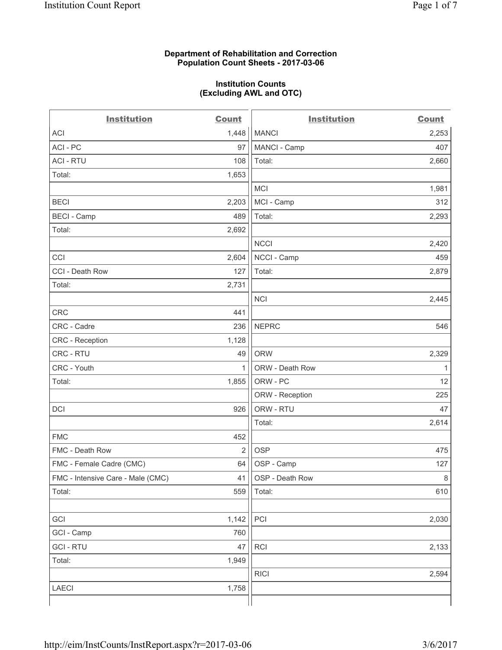## **Department of Rehabilitation and Correction Population Count Sheets - 2017-03-06**

# **Institution Counts (Excluding AWL and OTC)**

 $-$ 

| <b>Institution</b>                | <b>Count</b>   | <b>Institution</b> | <b>Count</b> |
|-----------------------------------|----------------|--------------------|--------------|
| ACI                               | 1,448          | <b>MANCI</b>       | 2,253        |
| ACI - PC                          | 97             | MANCI - Camp       | 407          |
| <b>ACI - RTU</b>                  | 108            | Total:             | 2,660        |
| Total:                            | 1,653          |                    |              |
|                                   |                | MCI                | 1,981        |
| <b>BECI</b>                       | 2,203          | MCI - Camp         | 312          |
| <b>BECI</b> - Camp                | 489            | Total:             | 2,293        |
| Total:                            | 2,692          |                    |              |
|                                   |                | <b>NCCI</b>        | 2,420        |
| CCI                               | 2,604          | NCCI - Camp        | 459          |
| CCI - Death Row                   | 127            | Total:             | 2,879        |
| Total:                            | 2,731          |                    |              |
|                                   |                | <b>NCI</b>         | 2,445        |
| <b>CRC</b>                        | 441            |                    |              |
| CRC - Cadre                       | 236            | <b>NEPRC</b>       | 546          |
| CRC - Reception                   | 1,128          |                    |              |
| CRC - RTU                         | 49             | <b>ORW</b>         | 2,329        |
| CRC - Youth                       | $\mathbf{1}$   | ORW - Death Row    | 1            |
| Total:                            | 1,855          | ORW - PC           | 12           |
|                                   |                | ORW - Reception    | 225          |
| DCI                               | 926            | ORW - RTU          | 47           |
|                                   |                | Total:             | 2,614        |
| <b>FMC</b>                        | 452            |                    |              |
| FMC - Death Row                   | $\overline{2}$ | <b>OSP</b>         | 475          |
| FMC - Female Cadre (CMC)          | 64             | OSP - Camp         | 127          |
| FMC - Intensive Care - Male (CMC) | 41             | OSP - Death Row    | 8            |
| Total:                            | 559            | Total:             | 610          |
|                                   |                |                    |              |
| GCI                               | 1,142          | PCI                | 2,030        |
| GCI - Camp                        | 760            |                    |              |
| <b>GCI-RTU</b>                    | 47             | RCI                | 2,133        |
| Total:                            | 1,949          |                    |              |
|                                   |                | <b>RICI</b>        | 2,594        |
| LAECI                             | 1,758          |                    |              |
|                                   |                |                    |              |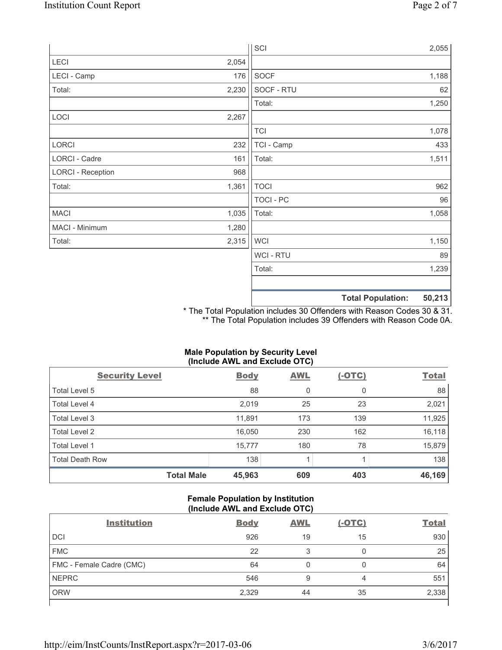|                          |       | SCI            | 2,055                              |
|--------------------------|-------|----------------|------------------------------------|
| LECI                     | 2,054 |                |                                    |
| LECI - Camp              | 176   | <b>SOCF</b>    | 1,188                              |
| Total:                   | 2,230 | SOCF - RTU     | 62                                 |
|                          |       | Total:         | 1,250                              |
| LOCI                     | 2,267 |                |                                    |
|                          |       | <b>TCI</b>     | 1,078                              |
| LORCI                    | 232   | TCI - Camp     | 433                                |
| LORCI - Cadre            | 161   | Total:         | 1,511                              |
| <b>LORCI - Reception</b> | 968   |                |                                    |
| Total:                   | 1,361 | <b>TOCI</b>    | 962                                |
|                          |       | TOCI - PC      | 96                                 |
| <b>MACI</b>              | 1,035 | Total:         | 1,058                              |
| MACI - Minimum           | 1,280 |                |                                    |
| Total:                   | 2,315 | <b>WCI</b>     | 1,150                              |
|                          |       | <b>WCI-RTU</b> | 89                                 |
|                          |       | Total:         | 1,239                              |
|                          |       |                | 50,213<br><b>Total Population:</b> |

\* The Total Population includes 30 Offenders with Reason Codes 30 & 31. \*\* The Total Population includes 39 Offenders with Reason Code 0A.

# **Male Population by Security Level (Include AWL and Exclude OTC)**

| $\mathbf{v}$<br><b>Security Level</b> | <b>Body</b> | . .<br><b>AWL</b> | $(-OTC)$ | <b>Total</b> |
|---------------------------------------|-------------|-------------------|----------|--------------|
| Total Level 5                         | 88          | 0                 | 0        | 88           |
| Total Level 4                         | 2,019       | 25                | 23       | 2,021        |
| Total Level 3                         | 11,891      | 173               | 139      | 11,925       |
| Total Level 2                         | 16,050      | 230               | 162      | 16,118       |
| Total Level 1                         | 15,777      | 180               | 78       | 15,879       |
| <b>Total Death Row</b>                | 138         |                   |          | 138          |
| <b>Total Male</b>                     | 45,963      | 609               | 403      | 46,169       |

# **Female Population by Institution (Include AWL and Exclude OTC)**

| <b>Institution</b>       | <b>Body</b> | <b>AWL</b> | <u>(-OTC)</u> | <b>Total</b> |
|--------------------------|-------------|------------|---------------|--------------|
| <b>DCI</b>               | 926         | 19         | 15            | 930          |
| <b>FMC</b>               | 22          | 3          | U             | 25           |
| FMC - Female Cadre (CMC) | 64          | 0          |               | 64           |
| <b>NEPRC</b>             | 546         | 9          | 4             | 551          |
| <b>ORW</b>               | 2,329       | 44         | 35            | 2,338        |
|                          |             |            |               |              |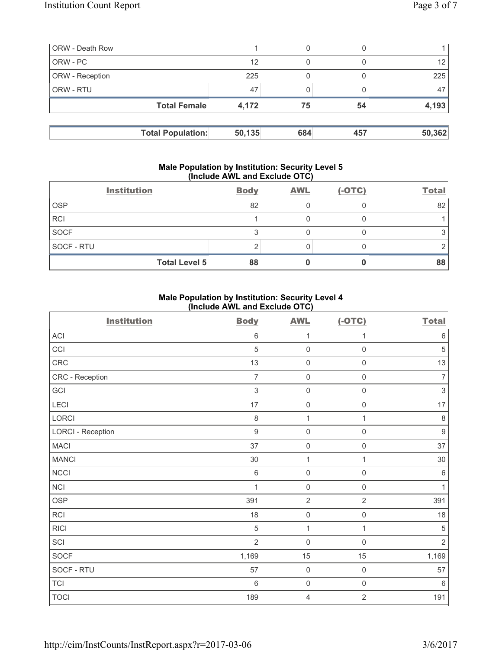| <b>ORW</b> - Death Row |                          |        | 0   |     |                 |
|------------------------|--------------------------|--------|-----|-----|-----------------|
| ORW - PC               |                          | 12     | 0   |     | 12 <sub>1</sub> |
| <b>ORW</b> - Reception |                          | 225    |     |     | 225             |
| <b>ORW - RTU</b>       |                          | 47     |     |     | 47              |
|                        | <b>Total Female</b>      | 4,172  | 75  | 54  | 4,193           |
|                        |                          |        |     |     |                 |
|                        | <b>Total Population:</b> | 50,135 | 684 | 457 | 50,362          |

## **Male Population by Institution: Security Level 5 (Include AWL and Exclude OTC)**

| <b>Institution</b>   | <b>Body</b> | <b>AWL</b> | $(-OTC)$ | <b>Total</b> |
|----------------------|-------------|------------|----------|--------------|
| <b>OSP</b>           | 82          |            |          | 82           |
| <b>RCI</b>           |             |            |          |              |
| <b>SOCF</b>          |             |            |          |              |
| SOCF - RTU           |             |            |          |              |
| <b>Total Level 5</b> | 88          |            |          | 88           |

# **Male Population by Institution: Security Level 4 (Include AWL and Exclude OTC)**

| <b>Institution</b>       | <b>Body</b>      | <b>AWL</b>          | $(-OTC)$            | <b>Total</b>     |
|--------------------------|------------------|---------------------|---------------------|------------------|
| ACI                      | $\,6\,$          | 1                   | 1                   | $\,6\,$          |
| CCI                      | $\sqrt{5}$       | $\mathsf{O}\xspace$ | $\mathsf 0$         | $\,$ 5 $\,$      |
| CRC                      | 13               | $\mathbf 0$         | $\mathsf{O}\xspace$ | 13               |
| CRC - Reception          | $\overline{7}$   | $\mathsf{O}\xspace$ | $\mathsf{O}\xspace$ | $\overline{7}$   |
| GCI                      | $\sqrt{3}$       | $\mathsf{O}\xspace$ | $\mathsf{O}\xspace$ | $\,$ 3 $\,$      |
| <b>LECI</b>              | $17\,$           | $\mathsf{O}\xspace$ | $\mathsf{O}\xspace$ | $17\,$           |
| LORCI                    | $\,8\,$          | $\mathbf{1}$        | $\mathbf{1}$        | $\,8\,$          |
| <b>LORCI - Reception</b> | $\boldsymbol{9}$ | $\mathsf{O}\xspace$ | $\mathsf{O}\xspace$ | $\boldsymbol{9}$ |
| <b>MACI</b>              | 37               | $\mathsf{O}\xspace$ | $\mathsf{O}\xspace$ | 37               |
| <b>MANCI</b>             | 30               | $\mathbf{1}$        | $\mathbf{1}$        | 30               |
| <b>NCCI</b>              | $\,6\,$          | $\mathsf{O}\xspace$ | $\mathsf{O}\xspace$ | $\,6\,$          |
| NCI                      | 1                | $\mathbf 0$         | $\mathbf 0$         | $\mathbf{1}$     |
| <b>OSP</b>               | 391              | $\overline{2}$      | $\overline{2}$      | 391              |
| <b>RCI</b>               | 18               | $\mathsf{O}\xspace$ | $\mathsf{O}\xspace$ | $18$             |
| <b>RICI</b>              | $\sqrt{5}$       | 1                   | $\mathbf{1}$        | $\sqrt{5}$       |
| SCI                      | $\overline{2}$   | $\mathbf 0$         | $\mathsf 0$         | $\overline{2}$   |
| SOCF                     | 1,169            | 15                  | 15                  | 1,169            |
| SOCF - RTU               | 57               | $\mathsf{O}\xspace$ | $\mathsf{O}\xspace$ | 57               |
| <b>TCI</b>               | $\,6\,$          | $\mathsf{O}\xspace$ | $\mathsf{O}\xspace$ | $\,6\,$          |
| <b>TOCI</b>              | 189              | $\overline{4}$      | $\overline{2}$      | 191              |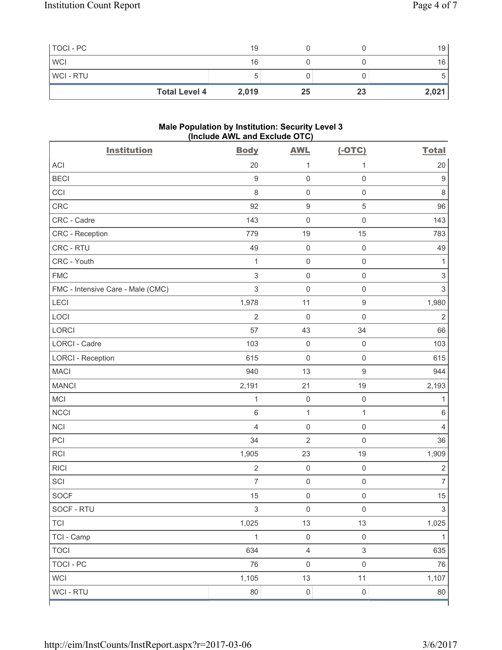| TOCI - PC      |                      | 19    |    |    | 19    |
|----------------|----------------------|-------|----|----|-------|
| <b>WCI</b>     |                      | 16    |    |    | 16    |
| <b>WCI-RTU</b> |                      |       |    |    |       |
|                | <b>Total Level 4</b> | 2,019 | 25 | 23 | 2,021 |

### **Male Population by Institution: Security Level 3 (Include AWL and Exclude OTC)**

| <b>Institution</b>                | <b>Body</b>    | <b>AWL</b>          | $(-OTC)$            | <b>Total</b>              |
|-----------------------------------|----------------|---------------------|---------------------|---------------------------|
| <b>ACI</b>                        | 20             | 1                   | 1                   | 20                        |
| <b>BECI</b>                       | $\hbox{9}$     | $\mathsf{O}\xspace$ | $\mathsf 0$         | 9                         |
| CCI                               | 8              | $\mathsf{O}\xspace$ | $\mathsf{O}\xspace$ | 8                         |
| CRC                               | 92             | $\boldsymbol{9}$    | $\sqrt{5}$          | 96                        |
| CRC - Cadre                       | 143            | $\mathsf{O}\xspace$ | $\mathsf{O}\xspace$ | 143                       |
| CRC - Reception                   | 779            | 19                  | 15                  | 783                       |
| CRC - RTU                         | 49             | $\mathsf{O}\xspace$ | $\mathsf 0$         | 49                        |
| CRC - Youth                       | $\mathbf 1$    | $\mathsf{O}\xspace$ | $\mathsf{O}\xspace$ | 1                         |
| <b>FMC</b>                        | 3              | $\mathsf{O}\xspace$ | $\mathsf 0$         | $\ensuremath{\mathsf{3}}$ |
| FMC - Intensive Care - Male (CMC) | 3              | $\mathbf 0$         | $\mathsf 0$         | $\ensuremath{\mathsf{3}}$ |
| LECI                              | 1,978          | 11                  | $\boldsymbol{9}$    | 1,980                     |
| LOCI                              | $\overline{2}$ | $\mathsf{O}\xspace$ | $\mathsf 0$         | $\overline{2}$            |
| <b>LORCI</b>                      | 57             | 43                  | 34                  | 66                        |
| <b>LORCI - Cadre</b>              | 103            | $\mathsf{O}\xspace$ | $\mathsf 0$         | 103                       |
| <b>LORCI - Reception</b>          | 615            | $\mathsf{O}\xspace$ | $\mathsf 0$         | 615                       |
| <b>MACI</b>                       | 940            | 13                  | $\mathsf g$         | 944                       |
| <b>MANCI</b>                      | 2,191          | 21                  | 19                  | 2,193                     |
| MCI                               | $\mathbf 1$    | $\mathsf{O}\xspace$ | $\mathsf{O}\xspace$ | 1                         |
| <b>NCCI</b>                       | 6              | $\mathbf{1}$        | $\mathbf{1}$        | $\,6$                     |
| <b>NCI</b>                        | $\overline{4}$ | $\mathsf{O}\xspace$ | $\mathsf 0$         | $\overline{4}$            |
| PCI                               | 34             | $\overline{2}$      | $\mathsf 0$         | 36                        |
| RCI                               | 1,905          | 23                  | 19                  | 1,909                     |
| <b>RICI</b>                       | $\overline{2}$ | $\mathsf{O}\xspace$ | $\mathsf{O}\xspace$ | $\sqrt{2}$                |
| SCI                               | $\overline{7}$ | $\mathsf{O}\xspace$ | $\mathsf 0$         | $\overline{7}$            |
| <b>SOCF</b>                       | 15             | $\mathsf{O}\xspace$ | $\mathsf 0$         | 15                        |
| SOCF - RTU                        | $\,$ 3 $\,$    | $\mathsf{O}\xspace$ | $\mathsf{O}\xspace$ | $\overline{3}$            |
| TCI                               | 1,025          | 13                  | 13                  | 1,025                     |
| TCI - Camp                        | $\mathbf{1}$   | $\mathsf 0$         | $\mathsf 0$         | $\mathbf{1}$              |
| <b>TOCI</b>                       | 634            | $\overline{4}$      | $\sqrt{3}$          | 635                       |
| <b>TOCI - PC</b>                  | 76             | $\mathsf{O}\xspace$ | $\mathsf 0$         | 76                        |
| <b>WCI</b>                        | 1,105          | 13                  | 11                  | 1,107                     |
| WCI - RTU                         | 80             | $\mathsf{O}\xspace$ | $\mathsf 0$         | 80                        |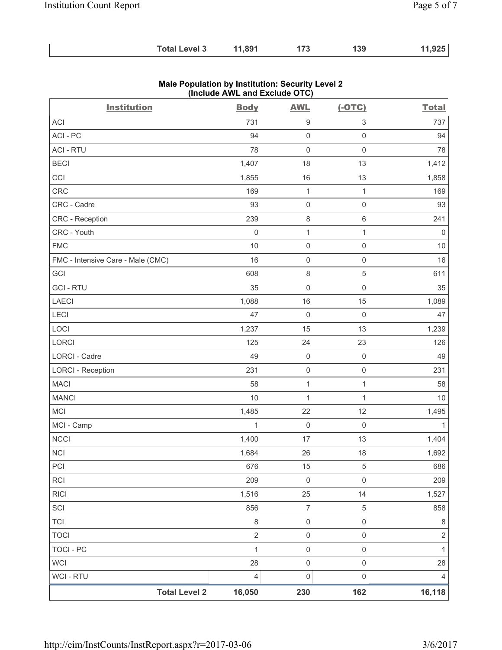| <b>Total Level 3</b><br>11,891<br>173<br>139 | 11,925 |
|----------------------------------------------|--------|
|----------------------------------------------|--------|

| <b>Institution</b>                | <b>Body</b>         | <b>AWL</b>          | $(-OTC)$                  | <b>Total</b> |
|-----------------------------------|---------------------|---------------------|---------------------------|--------------|
| ACI                               | 731                 | 9                   | $\ensuremath{\mathsf{3}}$ | 737          |
| ACI-PC                            | 94                  | $\mathsf{O}\xspace$ | $\mathsf 0$               | 94           |
| <b>ACI - RTU</b>                  | 78                  | $\mathsf{O}\xspace$ | $\mathsf{O}\xspace$       | 78           |
| <b>BECI</b>                       | 1,407               | 18                  | 13                        | 1,412        |
| CCI                               | 1,855               | 16                  | 13                        | 1,858        |
| <b>CRC</b>                        | 169                 | $\mathbf{1}$        | $\mathbf{1}$              | 169          |
| CRC - Cadre                       | 93                  | $\mathsf{O}\xspace$ | $\mathsf{O}\xspace$       | 93           |
| CRC - Reception                   | 239                 | 8                   | $\,6\,$                   | 241          |
| CRC - Youth                       | $\mathsf{O}\xspace$ | $\mathbf{1}$        | $\mathbf{1}$              | $\mathsf 0$  |
| <b>FMC</b>                        | 10                  | $\mathsf{O}\xspace$ | $\mathsf{O}\xspace$       | $10$         |
| FMC - Intensive Care - Male (CMC) | 16                  | $\mathsf{O}\xspace$ | $\mathsf{O}\xspace$       | 16           |
| GCI                               | 608                 | $\,8\,$             | $\,$ 5 $\,$               | 611          |
| <b>GCI-RTU</b>                    | 35                  | $\mathsf{O}\xspace$ | $\mathsf{O}\xspace$       | 35           |
| LAECI                             | 1,088               | 16                  | 15                        | 1,089        |
| LECI                              | 47                  | $\mathsf{O}\xspace$ | $\mathsf 0$               | 47           |
| LOCI                              | 1,237               | 15                  | 13                        | 1,239        |
| LORCI                             | 125                 | 24                  | 23                        | 126          |
| LORCI - Cadre                     | 49                  | $\mathsf{O}\xspace$ | $\mathsf{O}\xspace$       | 49           |
| <b>LORCI - Reception</b>          | 231                 | $\mathsf{O}\xspace$ | $\mathsf{O}\xspace$       | 231          |
| <b>MACI</b>                       | 58                  | $\mathbf{1}$        | $\mathbf{1}$              | 58           |
| <b>MANCI</b>                      | 10                  | $\mathbf{1}$        | $\mathbf{1}$              | 10           |
| MCI                               | 1,485               | 22                  | 12                        | 1,495        |
| MCI - Camp                        | $\mathbf 1$         | $\mathsf{O}\xspace$ | $\mathsf 0$               | $\mathbf{1}$ |
| <b>NCCI</b>                       | 1,400               | 17                  | 13                        | 1,404        |
| <b>NCI</b>                        | 1,684               | 26                  | 18                        | 1,692        |
| PCI                               | 676                 | 15                  | 5                         | 686          |
| <b>RCI</b>                        | 209                 | 0                   | $\mathbf 0$               | 209          |
| <b>RICI</b>                       | 1,516               | 25                  | 14                        | 1,527        |
| SCI                               | 856                 | $\overline{7}$      | $\sqrt{5}$                | 858          |
| <b>TCI</b>                        | 8                   | 0                   | $\mathsf{O}\xspace$       | $\,8\,$      |
| <b>TOCI</b>                       | $\overline{2}$      | $\mathsf 0$         | $\mathsf 0$               | $\mathbf 2$  |
| <b>TOCI - PC</b>                  | $\mathbf{1}$        | $\mathsf{O}\xspace$ | $\mathsf{O}\xspace$       | $\mathbf{1}$ |
| <b>WCI</b>                        | 28                  | $\mathsf 0$         | $\mathsf 0$               | 28           |
| <b>WCI - RTU</b>                  | 4                   | 0                   | $\mathbf 0$               | 4            |
| <b>Total Level 2</b>              | 16,050              | 230                 | 162                       | 16,118       |

#### **Male Population by Institution: Security Level 2 (Include AWL and Exclude OTC)**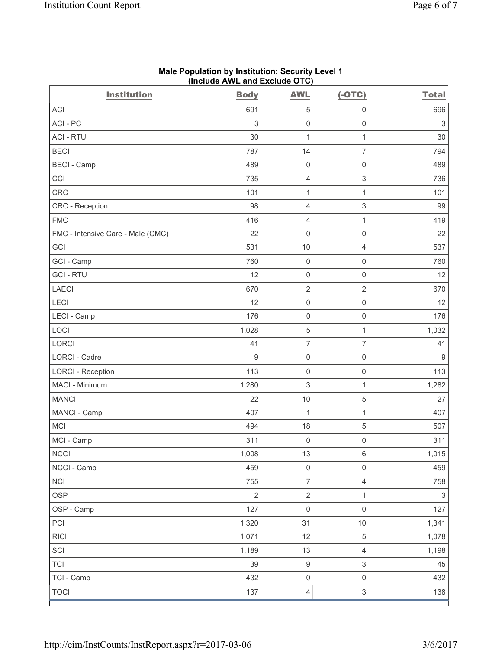| <b>Institution</b>                | <b>Body</b>      | <b>AWL</b>          | $(-OTC)$                  | <b>Total</b>   |
|-----------------------------------|------------------|---------------------|---------------------------|----------------|
| <b>ACI</b>                        | 691              | 5                   | 0                         | 696            |
| ACI-PC                            | 3                | $\mathbf 0$         | $\mathsf{O}\xspace$       | $\mathfrak{S}$ |
| <b>ACI - RTU</b>                  | 30               | 1                   | $\mathbf{1}$              | 30             |
| <b>BECI</b>                       | 787              | 14                  | $\overline{7}$            | 794            |
| <b>BECI</b> - Camp                | 489              | $\mathsf{O}\xspace$ | $\mathsf{O}\xspace$       | 489            |
| CCI                               | 735              | $\overline{4}$      | $\mathsf 3$               | 736            |
| <b>CRC</b>                        | 101              | $\mathbf{1}$        | $\mathbf{1}$              | 101            |
| CRC - Reception                   | 98               | $\overline{4}$      | $\mathsf 3$               | 99             |
| <b>FMC</b>                        | 416              | $\overline{4}$      | $\mathbf{1}$              | 419            |
| FMC - Intensive Care - Male (CMC) | 22               | $\mathsf{O}\xspace$ | $\mathsf 0$               | 22             |
| GCI                               | 531              | 10                  | $\overline{4}$            | 537            |
| GCI - Camp                        | 760              | $\mathbf 0$         | $\mathsf{O}\xspace$       | 760            |
| <b>GCI-RTU</b>                    | 12               | $\mathbf 0$         | $\mathsf{O}\xspace$       | 12             |
| <b>LAECI</b>                      | 670              | $\overline{2}$      | $\overline{2}$            | 670            |
| LECI                              | 12               | $\mathsf{O}\xspace$ | $\mathsf 0$               | 12             |
| LECI - Camp                       | 176              | $\mathbf 0$         | $\mathsf{O}\xspace$       | 176            |
| LOCI                              | 1,028            | $\overline{5}$      | $\mathbf{1}$              | 1,032          |
| LORCI                             | 41               | $\overline{7}$      | $\overline{7}$            | 41             |
| <b>LORCI - Cadre</b>              | $\boldsymbol{9}$ | $\mathsf{O}\xspace$ | $\mathsf{O}\xspace$       | 9              |
| <b>LORCI - Reception</b>          | 113              | $\mathsf{O}\xspace$ | $\mathsf{O}\xspace$       | 113            |
| MACI - Minimum                    | 1,280            | $\sqrt{3}$          | $\mathbf{1}$              | 1,282          |
| <b>MANCI</b>                      | 22               | 10                  | 5                         | 27             |
| MANCI - Camp                      | 407              | 1                   | 1                         | 407            |
| <b>MCI</b>                        | 494              | 18                  | $\sqrt{5}$                | 507            |
| MCI - Camp                        | 311              | $\mathsf{O}\xspace$ | $\mathsf{O}\xspace$       | 311            |
| <b>NCCI</b>                       | 1,008            | 13                  | $\,6\,$                   | 1,015          |
| NCCI - Camp                       | 459              | $\mathsf 0$         | $\mathsf 0$               | 459            |
| <b>NCI</b>                        | 755              | $\overline{7}$      | $\overline{4}$            | 758            |
| <b>OSP</b>                        | $\overline{2}$   | $\overline{2}$      | $\mathbf{1}$              | $\mathsf 3$    |
| OSP - Camp                        | 127              | $\mathsf 0$         | $\mathsf 0$               | 127            |
| PCI                               | 1,320            | 31                  | 10                        | 1,341          |
| <b>RICI</b>                       | 1,071            | 12                  | $\,$ 5 $\,$               | 1,078          |
| SCI                               | 1,189            | 13                  | $\overline{\mathbf{4}}$   | 1,198          |
| <b>TCI</b>                        | 39               | $\boldsymbol{9}$    | $\ensuremath{\mathsf{3}}$ | 45             |
| TCI - Camp                        | 432              | $\mathsf{O}\xspace$ | $\mathsf{O}\xspace$       | 432            |
| <b>TOCI</b>                       | 137              | $\overline{4}$      | $\ensuremath{\mathsf{3}}$ | 138            |

#### **Male Population by Institution: Security Level 1 (Include AWL and Exclude OTC)**